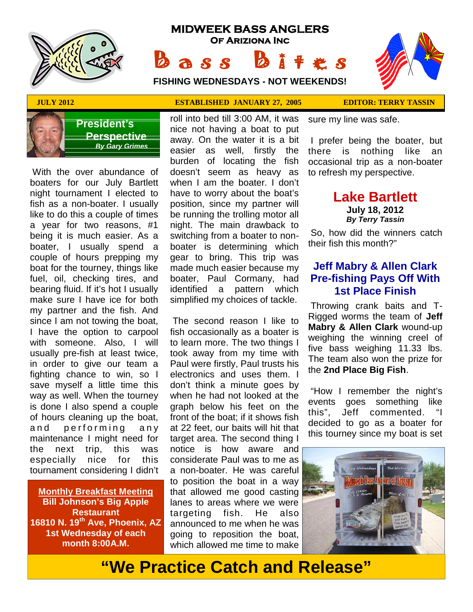

# **MIDWEEK BASS ANGLERS Of Ariziona Inc B a s s b i**  $\frac{1}{2}$  **example 3**<br>**B a s s b i**  $\frac{1}{4}$  **f**  $\frac{1}{5}$  **s** s and  $\frac{1}{2}$  **f f**  $\frac{1}{5}$  **f s** s and  $\frac{1}{2}$  **f f f**  $\frac{1}{2}$  **f f f**  $\frac{1}{2}$  **f f f**  $\frac{1}{2}$  **f f f**  $\frac{$

**FISHING WEDNESDAYS - NOT WEEKENDS!**





**President's Perspective**  *By Gary Grimes*

 With the over abundance of boaters for our July Bartlett night tournament I elected to fish as a non-boater. I usually like to do this a couple of times a year for two reasons, #1 being it is much easier. As a boater, I usually spend a couple of hours prepping my boat for the tourney, things like fuel, oil, checking tires, and bearing fluid. If it's hot I usually identified a make sure I have ice for both my partner and the fish. And since I am not towing the boat, I have the option to carpool with someone. Also, I will usually pre-fish at least twice, in order to give our team a fighting chance to win, so I save myself a little time this way as well. When the tourney is done I also spend a couple of hours cleaning up the boat, fighting chance to win, so I electr<br>save myself a little time this don't<br>way as well. When the tourney when<br>is done I also spend a couple graph<br>of hours cleaning up the boat, front<br>and performing any at 22<br>maintenance I mi maintenance I might need for the next trip, this was especially nice for this tournament considering I didn't

**Monthly Breakfast Meeting Bill Johnson's Big Apple Restaurant 16810 N. 19th Ave, Phoenix, AZ 1st Wednesday of each month 8:00A.M.**

**JULY 2012 ESTABLISHED JANUARY 27, 2005 EDITOR: TERRY TASSIN**

roll into bed till 3:00 AM, it was nice not having a boat to put away. On the water it is a bit easier as well, firstly the burden of locating the fish doesn't seem as heavy as when I am the boater. I don't have to worry about the boat's position, since my partner will be running the trolling motor all night. The main drawback to switching from a boater to non boater is determining which gear to bring. This trip was made much easier because my boater, Paul Cormany, had pattern which simplified my choices of tackle.

 The second reason I like to fish occasionally as a boater is to learn more. The two things I took away from my time with Paul were firstly, Paul trusts his electronics and uses them. I don't think a minute goes by when he had not looked at the graph below his feet on the front of the boat; if it shows fish at 22 feet, our baits will hit that target area. The second thing I notice is how aware and considerate Paul was to me as a non-boater. He was careful to position the boat in a way that allowed me good casting lanes to areas where we were targeting fish. He also announced to me when he was going to reposition the boat, which allowed me time to make

sure my line was safe.

 I prefer being the boater, but is nothing like an occasional trip as a non-boater to refresh my perspective.

### **Lake Bartlett July 18, 2012** *By Terry Tassin*

 So, how did the winners catch their fish this month?"

## **Jeff Mabry & Allen Clark Pre-fishing Pays Off With 1st Place Finish**

 Throwing crank baits and T- Rigged worms the team of **Jeff Mabry & Allen Clark** wound-up weighing the winning creel of five bass weighing 11.33 lbs. The team also won the prize for the **2nd Place Big Fish**.

 "How I remember the night's events goes something like this", Jeff commented. "I decided to go as a boater for this tourney since my boat is set



# **"We Practice Catch and Release"**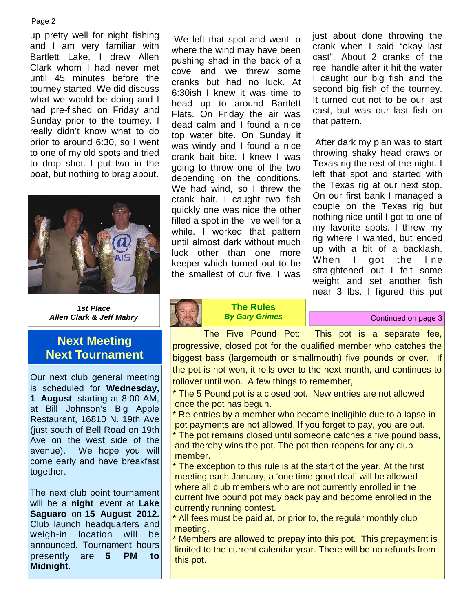#### Page 2

up pretty well for night fishing and I am very familiar with Bartlett Lake. I drew Allen Clark whom I had never met until 45 minutes before the tourney started. We did discuss what we would be doing and I had pre-fished on Friday and Sunday prior to the tourney. I really didn't know what to do prior to around 6:30, so I went to one of my old spots and tried to drop shot. I put two in the boat, but nothing to brag about.



*1st Place Allen Clark & Jeff Mabry*

# **Next Meeting Next Tournament**

Our next club general meeting is scheduled for **Wednesday, 1 August** starting at 8:00 AM, at Bill Johnson's Big Apple Restaurant, 16810 N. 19th Ave (just south of Bell Road on 19th Ave on the west side of the avenue). We hope you will come early and have breakfast together.

The next club point tournament will be a **night** event at **Lake Saguaro** on **15 August 2012.** Club launch headquarters and weigh-in location will be announced. Tournament hours presently are **5 PM to Midnight.**

 We left that spot and went to where the wind may have been pushing shad in the back of a cove and we threw some cranks but had no luck. At 6:30ish I knew it was time to head up to around Bartlett Flats. On Friday the air was dead calm and I found a nice top water bite. On Sunday it was windy and I found a nice crank bait bite. I knew I was going to throw one of the two depending on the conditions. We had wind, so I threw the crank bait. I caught two fish quickly one was nice the other filled a spot in the live well for a while. I worked that pattern until almost dark without much luck other than one more <sup>up with</sup> keeper which turned out to be the smallest of our five. I was

just about done throwing the crank when I said "okay last cast". About 2 cranks of the reel handle after it hit the water I caught our big fish and the second big fish of the tourney. It turned out not to be our last cast, but was our last fish on that pattern.

 After dark my plan was to start throwing shaky head craws or Texas rig the rest of the night. I left that spot and started with the Texas rig at our next stop. On our first bank I managed a couple on the Texas rig but nothing nice until I got to one of my favorite spots. I threw my rig where I wanted, but ended up with a bit of a backlash. I got the line straightened out I felt some weight and set another fish near 3 lbs. I figured this put

**The Rules**

**Continued on page 3** 

The Five Pound Pot: This pot is a separate fee, progressive, closed pot for the qualified member who catches the biggest bass (largemouth or smallmouth) five pounds or over. If the pot is not won, it rolls over to the next month, and continues to rollover until won. A few things to remember,

\* The 5 Pound pot is a closed pot. New entries are not allowed once the pot has begun.

\* Re-entries by a member who became ineligible due to a lapse in pot payments are not allowed. If you forget to pay, you are out.

\* The pot remains closed until someone catches a five pound bass, and thereby wins the pot. The pot then reopens for any club member.

\* The exception to this rule is at the start of the year. At the first meeting each January, a 'one time good deal' will be allowed where all club members who are not currently enrolled in the current five pound pot may back pay and become enrolled in the currently running contest.

\* All fees must be paid at, or prior to, the regular monthly club meeting.

\* Members are allowed to prepay into this pot. This prepayment is limited to the current calendar year. There will be no refunds from this pot.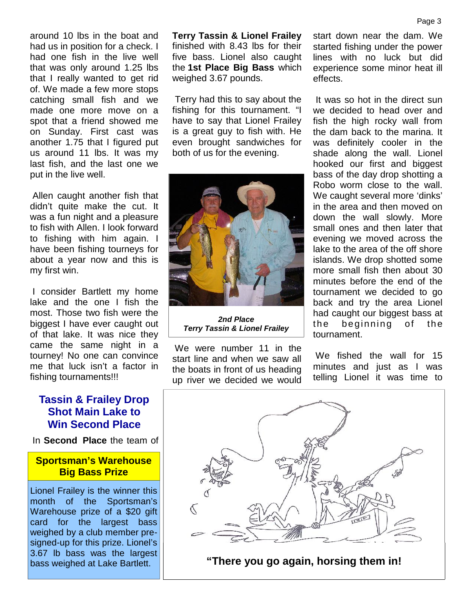around 10 lbs in the boat and had us in position for a check. I had one fish in the live well that was only around 1.25 lbs that I really wanted to get rid of. We made a few more stops catching small fish and we made one more move on a spot that a friend showed me on Sunday. First cast was another 1.75 that I figured put us around 11 lbs. It was my last fish, and the last one we put in the live well.

 Allen caught another fish that didn't quite make the cut. It was a fun night and a pleasure to fish with Allen. I look forward to fishing with him again. I have been fishing tourneys for about a year now and this is my first win.

 I consider Bartlett my home lake and the one I fish the most. Those two fish were the biggest I have ever caught out of that lake. It was nice they came the same night in a tourney! No one can convince me that luck isn't a factor in fishing tournaments!!!

#### **Tassin & Frailey Drop Shot Main Lake to Win Second Place**

In **Second Place** the team of

#### **Sportsman's Warehouse Big Bass Prize**

Lionel Frailey is the winner this month of the Sportsman's Warehouse prize of a \$20 gift card for the largest bass weighed by a club member pre signed-up for this prize. Lionel's 3.67 lb bass was the largest bass weighed at Lake Bartlett.

**Terry Tassin & Lionel Frailey** finished with 8.43 lbs for their five bass. Lionel also caught the **1st Place Big Bass** which weighed 3.67 pounds.

 Terry had this to say about the fishing for this tournament. "I have to say that Lionel Frailey is a great guy to fish with. He even brought sandwiches for both of us for the evening.



*2nd Place Terry Tassin & Lionel Frailey*

 We were number 11 in the start line and when we saw all the boats in front of us heading up river we decided we would

start down near the dam. We started fishing under the power lines with no luck but did experience some minor heat ill effects.

 It was so hot in the direct sun we decided to head over and fish the high rocky wall from the dam back to the marina. It was definitely cooler in the shade along the wall. Lionel hooked our first and biggest bass of the day drop shotting a Robo worm close to the wall. We caught several more 'dinks' in the area and then moved on down the wall slowly. More small ones and then later that evening we moved across the lake to the area of the off shore islands. We drop shotted some more small fish then about 30 minutes before the end of the tournament we decided to go back and try the area Lionel had caught our biggest bass at more small fish then about 30<br>minutes before the end of the<br>tournament we decided to go<br>back and try the area Lionel<br>had caught our biggest bass at<br>the beginning of the<br>tournament. tournament.

 We fished the wall for 15 minutes and just as I was telling Lionel it was time to



**"There you go again, horsing them in!**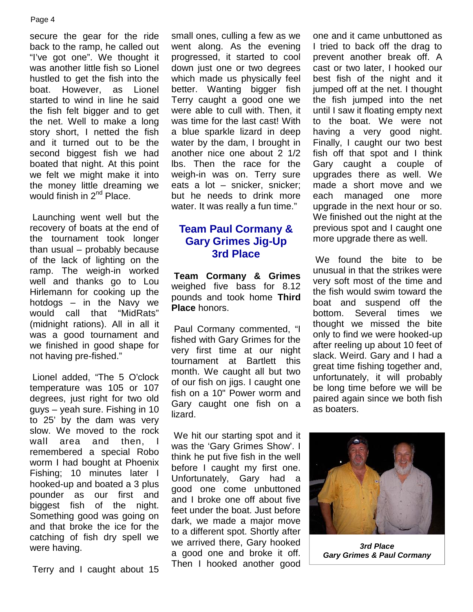secure the gear for the ride back to the ramp, he called out "I've got one". We thought it was another little fish so Lionel hustled to get the fish into the boat. However, as Lionel started to wind in line he said the fish felt bigger and to get the net. Well to make a long story short, I netted the fish and it turned out to be the second biggest fish we had boated that night. At this point we felt we might make it into the money little dreaming we would finish in 2<sup>nd</sup> Place.

 Launching went well but the recovery of boats at the end of the tournament took longer than usual – probably because of the lack of lighting on the ramp. The weigh-in worked well and thanks go to Lou Hirlemann for cooking up the hotdogs – in the Navy we would call that "MidRats" (midnight rations). All in all it was a good tournament and we finished in good shape for not having pre-fished."

 Lionel added, "The 5 O'clock temperature was 105 or 107 degrees, just right for two old guys – yeah sure. Fishing in 10 to 25' by the dam was very slow. We moved to the rock wall area and then, I remembered a special Robo worm I had bought at Phoenix Fishing; 10 minutes later I hooked-up and boated a 3 plus pounder as our first and biggest fish of the night. Something good was going on and that broke the ice for the catching of fish dry spell we were having.

Terry and I caught about 15

small ones, culling a few as we went along. As the evening progressed, it started to cool down just one or two degrees which made us physically feel better. Wanting bigger fish Terry caught a good one we were able to cull with. Then, it was time for the last cast! With a blue sparkle lizard in deep water by the dam, I brought in another nice one about 2 1/2 lbs. Then the race for the weigh-in was on. Terry sure eats a lot – snicker, snicker; but he needs to drink more water. It was really a fun time."

## **Team Paul Cormany & Gary Grimes Jig-Up 3rd Place**

**Team Cormany & Grimes** weighed five bass for 8.12 pounds and took home **Third Place** honors.

 Paul Cormany commented, "I fished with Gary Grimes for the very first time at our night tournament at Bartlett this month. We caught all but two of our fish on jigs. I caught one fish on a 10" Power worm and Gary caught one fish on a lizard.

 We hit our starting spot and it was the 'Gary Grimes Show'. I think he put five fish in the well before I caught my first one. Unfortunately, Gary had a good one come unbuttoned and I broke one off about five feet under the boat. Just before dark, we made a major move to a different spot. Shortly after we arrived there, Gary hooked a good one and broke it off. Then I hooked another good

one and it came unbuttoned as I tried to back off the drag to prevent another break off. A cast or two later, I hooked our best fish of the night and it jumped off at the net. I thought the fish jumped into the net until I saw it floating empty next to the boat. We were not having a very good night. Finally, I caught our two best fish off that spot and I think Gary caught a couple of upgrades there as well. We made a short move and we each managed one more upgrade in the next hour or so. We finished out the night at the previous spot and I caught one more upgrade there as well.

 We found the bite to be unusual in that the strikes were very soft most of the time and the fish would swim toward the boat and suspend off the bottom. Several times we thought we missed the bite only to find we were hooked-up after reeling up about 10 feet of slack. Weird. Gary and I had a great time fishing together and, unfortunately, it will probably be long time before we will be paired again since we both fish as boaters.

*3rd Place Gary Grimes & Paul Cormany*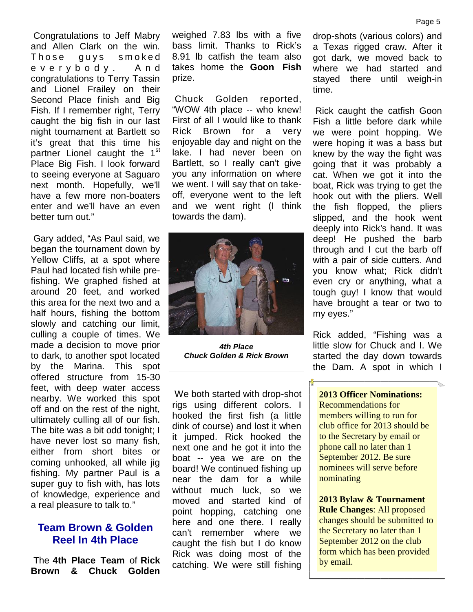Congratulations to Jeff Mabry and Allen Clark on the win. Congratulations to Jeff Mabry<br>
and Allen Clark on the win. bass<br>
Those guys smoked 8.91 I<br>
e v e r y b o d y . A n d takes Congratulations to Jeff Mabry weight<br>and Allen Clark on the win. bass<br>Those guys smoked 8.91 I<br>everybody. A n d takes<br>congratulations to Terry Tassin prize. congratulations to Terry Tassin and Lionel Frailey on their<br>Second Place finish and Big Chuck Second Place finish and Big Fish. If I remember right, Terry caught the big fish in our last night tournament at Bartlett so it's great that this time his partner Lionel caught the 1<sup>st</sup> Place Big Fish. I look forward to seeing everyone at Saguaro next month. Hopefully, we'll have a few more non-boaters enter and we'll have an even better turn out."

 Gary added, "As Paul said, we began the tournament down by Yellow Cliffs, at a spot where Paul had located fish while prefishing. We graphed fished at around 20 feet, and worked this area for the next two and a half hours, fishing the bottom slowly and catching our limit, culling a couple of times. We made a decision to move prior to dark, to another spot located by the Marina. This spot offered structure from 15-30 feet, with deep water access nearby. We worked this spot off and on the rest of the night, ultimately culling all of our fish. The bite was a bit odd tonight; I have never lost so many fish, either from short bites or coming unhooked, all while jig fishing. My partner Paul is a super guy to fish with, has lots of knowledge, experience and a real pleasure to talk to."

#### **Team Brown & Golden Reel In 4th Place**

 The **4th Place Team** of **Rick Brown & Chuck Golden** weighed 7.83 lbs with a five bass limit. Thanks to Rick's 8.91 lb catfish the team also takes home the **Goon Fish** prize.

Golden reported, "WOW 4th place -- who knew! First of all I would like to thank Rick Brown for a very enjoyable day and night on the lake. I had never been on Bartlett, so I really can't give you any information on where we went. I will say that on take off, everyone went to the left and we went right (I think towards the dam).



*4th Place Chuck Golden & Rick Brown*

 We both started with drop-shot rigs using different colors. I hooked the first fish (a little dink of course) and lost it when it jumped. Rick hooked the next one and he got it into the boat -- yea we are on the board! We continued fishing up near the dam for a while without much luck, so we moved and started kind of point hopping, catching one here and one there. I really can't remember where we caught the fish but I do know Rick was doing most of the catching. We were still fishing

drop-shots (various colors) and a Texas rigged craw. After it got dark, we moved back to where we had started and stayed there until weigh-in time.

 Rick caught the catfish Goon Fish a little before dark while we were point hopping. We were hoping it was a bass but knew by the way the fight was going that it was probably a cat. When we got it into the boat, Rick was trying to get the hook out with the pliers. Well the fish flopped, the pliers slipped, and the hook went deeply into Rick's hand. It was deep! He pushed the barb through and I cut the barb off with a pair of side cutters. And you know what; Rick didn't even cry or anything, what a tough guy! I know that would have brought a tear or two to my eyes."

Rick added, "Fishing was a little slow for Chuck and I. We started the day down towards the Dam. A spot in which I

**2013 Officer Nominations:** Recommendations for members willing to run for club office for 2013 should be to the Secretary by email or phone call no later than 1 September 2012. Be sure nominees will serve before nominating

**2013 Bylaw & Tournament Rule Changes**: All proposed changes should be submitted to the Secretary no later than 1 September 2012 on the club form which has been provided by email.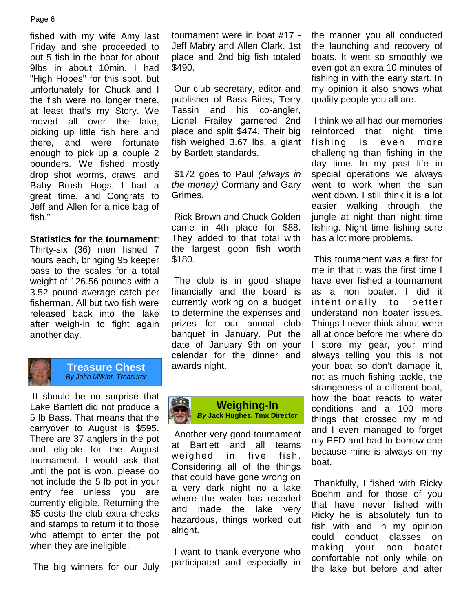#### Page 6

fished with my wife Amy last Friday and she proceeded to put 5 fish in the boat for about 9lbs in about 10min. I had "High Hopes" for this spot, but unfortunately for Chuck and I the fish were no longer there, at least that's my Story. We moved all over the lake, picking up little fish here and there, and were fortunate enough to pick up a couple 2 pounders. We fished mostly drop shot worms, craws, and Baby Brush Hogs. I had a great time, and Congrats to Jeff and Allen for a nice bag of fish."

#### **Statistics for the tournament**:

Thirty-six (36) men fished 7 hours each, bringing 95 keeper bass to the scales for a total weight of 126.56 pounds with a 3.52 pound average catch per fisherman. All but two fish were released back into the lake after weigh-in to fight again another day.



*By John Milkint. Treasurer*

 It should be no surprise that Lake Bartlett did not produce a 5 lb Bass. That means that the carryover to August is \$595. There are 37 anglers in the pot and eligible for the August tournament. I would ask that until the pot is won, please do not include the 5 lb pot in your entry fee unless you are currently eligible. Returning the \$5 costs the club extra checks and stamps to return it to those who attempt to enter the pot when they are ineligible.

The big winners for our July

tournament were in boat #17 - Jeff Mabry and Allen Clark. 1st place and 2nd big fish totaled \$490.

 Our club secretary, editor and publisher of Bass Bites, Terry Tassin and his co-angler, Lionel Frailey garnered 2nd place and split \$474. Their big fish weighed 3.67 lbs, a giant fishing by Bartlett standards.

 \$172 goes to Paul *(always in the money)* Cormany and Gary Grimes.

 Rick Brown and Chuck Golden came in 4th place for \$88. They added to that total with the largest goon fish worth \$180.

 The club is in good shape financially and the board is currently working on a budget intentionally to to determine the expenses and prizes for our annual club banquet in January. Put the date of January 9th on your calendar for the dinner and awards night.



 Another very good tournament at Bartlett and all teams weighed in five fish. Considering all of the things that could have gone wrong on a very dark night no a lake where the water has receded and made the lake very hazardous, things worked out alright.

 I want to thank everyone who participated and especially in the manner you all conducted the launching and recovery of boats. It went so smoothly we even got an extra 10 minutes of fishing in with the early start. In my opinion it also shows what quality people you all are.

 I think we all had our memories reinforced that night time my opinion it also shows what<br>quality people you all are.<br>I think we all had our memories<br>reinforced that night time<br>fishing is even more<br>challenging than fishing in the<br>day time In my past life in challenging than fishing in the day time. In my past life in special operations we always went to work when the sun went down. I still think it is a lot easier walking through the jungle at night than night time fishing. Night time fishing sure has a lot more problems.

 This tournament was a first for me in that it was the first time I have ever fished a tournament as a non boater. I did it This tournament was a first for<br>me in that it was the first time I<br>have ever fished a tournament<br>as a non boater. I did it<br>intentionally to better<br>understand non boater issues.<br>Things I never think about were understand non boater issues. Things I never think about were all at once before me; where do I store my gear, your mind always telling you this is not **Treasure Chest** awards night. We can be seen that the same of the same of the self-of the self-of the self-of the self-of the self-of the self-of the self-of the self-of the self-of the self-of the self-of the self-of the not as much fishing tackle, the strangeness of a different boat, how the boat reacts to water conditions and a 100 more things that crossed my mind and I even managed to forget my PFD and had to borrow one because mine is always on my boat.

> Thankfully, I fished with Ricky Boehm and for those of you that have never fished with Ricky he is absolutely fun to fish with and in my opinion could conduct classes on making your non boater comfortable not only while on the lake but before and after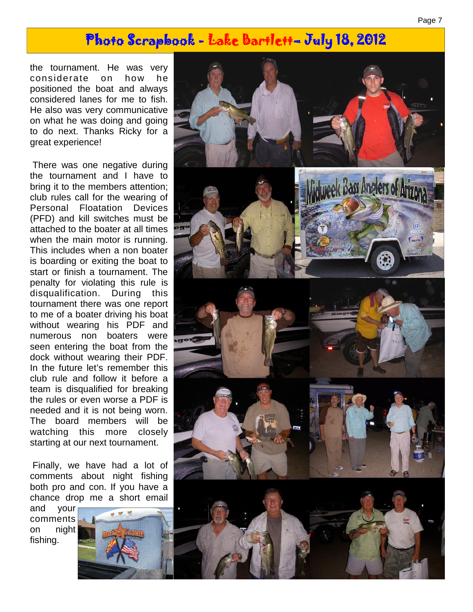# **Photo Scrapbook - Lake Bartlett– July 18, 2012**

the tournament. He was very considerate on how he positioned the boat and always considered lanes for me to fish. He also was very communicative on what he was doing and going to do next. Thanks Ricky for a great experience!

 There was one negative during the tournament and I have to bring it to the members attention; club rules call for the wearing of Personal Floatation Devices (PFD) and kill switches must be attached to the boater at all times when the main motor is running. This includes when a non boater is boarding or exiting the boat to start or finish a tournament. The penalty for violating this rule is disqualification. During this tournament there was one report to me of a boater driving his boat without wearing his PDF and numerous non boaters were seen entering the boat from the dock without wearing their PDF. In the future let's remember this club rule and follow it before a team is disqualified for breaking the rules or even worse a PDF is needed and it is not being worn. The board members will be watching this more closely starting at our next tournament.

 Finally, we have had a lot of comments about night fishing both pro and con. If you have a chance drop me a short email

and your comments on night fishing.